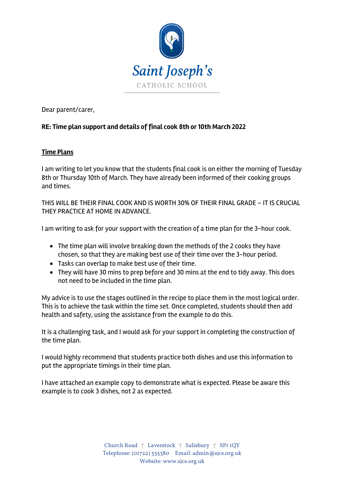

Dear parent/carer,

## **RE: Time plan support and details of final cook 8th or 10th March 2022**

## **Time Plans**

I am writing to let you know that the students final cook is on either the morning of Tuesday 8th or Thursday 10th of March. They have already been informed of their cooking groups and times.

THIS WILL BE THEIR FINAL COOK AND IS WORTH 30% OF THEIR FINAL GRADE – IT IS CRUCIAL THEY PRACTICE AT HOME IN ADVANCE.

I am writing to ask for your support with the creation of a time plan for the 3-hour cook.

- The time plan will involve breaking down the methods of the 2 cooks they have chosen, so that they are making best use of their time over the 3-hour period.
- Tasks can overlap to make best use of their time.
- They will have 30 mins to prep before and 30 mins at the end to tidy away. This does not need to be included in the time plan.

My advice is to use the stages outlined in the recipe to place them in the most logical order. This is to achieve the task within the time set. Once completed, students should then add health and safety, using the assistance from the example to do this.

It is a challenging task, and I would ask for your support in completing the construction of the time plan.

I would highly recommend that students practice both dishes and use this information to put the appropriate timings in their time plan.

I have attached an example copy to demonstrate what is expected. Please be aware this example is to cook 3 dishes, not 2 as expected.

> Church Road † Laverstock † Salisbury † SP1 1QY Telephone: (01722) 335380 Email: admin@sjcs.org.uk Website: www.sjcs.org.uk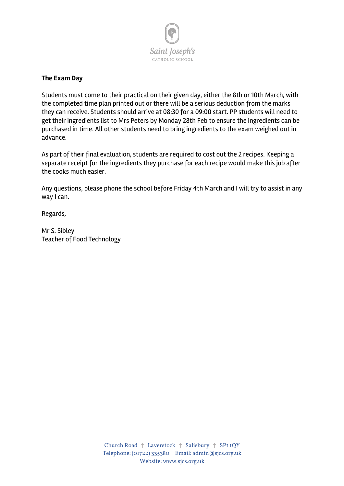

## **The Exam Day**

Students must come to their practical on their given day, either the 8th or 10th March, with the completed time plan printed out or there will be a serious deduction from the marks they can receive. Students should arrive at 08:30 for a 09:00 start. PP students will need to get their ingredients list to Mrs Peters by Monday 28th Feb to ensure the ingredients can be purchased in time. All other students need to bring ingredients to the exam weighed out in advance.

As part of their final evaluation, students are required to cost out the 2 recipes. Keeping a separate receipt for the ingredients they purchase for each recipe would make this job after the cooks much easier.

Any questions, please phone the school before Friday 4th March and I will try to assist in any way I can.

Regards,

Mr S. Sibley Teacher of Food Technology

> Church Road † Laverstock † Salisbury † SP1 1QY Telephone: (01722) 335380 Email: admin@sjcs.org.uk Website: www.sjcs.org.uk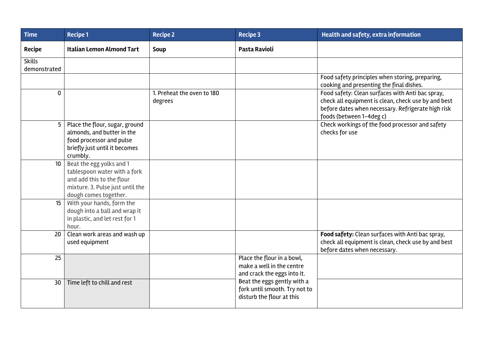| <b>Time</b>                   | <b>Recipe 1</b>                                                                                                                                    | <b>Recipe 2</b>                       | <b>Recipe 3</b>                                                                           | Health and safety, extra information                                                                                                                                                      |
|-------------------------------|----------------------------------------------------------------------------------------------------------------------------------------------------|---------------------------------------|-------------------------------------------------------------------------------------------|-------------------------------------------------------------------------------------------------------------------------------------------------------------------------------------------|
| <b>Recipe</b>                 | <b>Italian Lemon Almond Tart</b>                                                                                                                   | Soup                                  | Pasta Ravioli                                                                             |                                                                                                                                                                                           |
| <b>Skills</b><br>demonstrated |                                                                                                                                                    |                                       |                                                                                           |                                                                                                                                                                                           |
|                               |                                                                                                                                                    |                                       |                                                                                           | Food safety principles when storing, preparing,<br>cooking and presenting the final dishes.                                                                                               |
| $\mathbf 0$                   |                                                                                                                                                    | 1. Preheat the oven to 180<br>degrees |                                                                                           | Food safety: Clean surfaces with Anti bac spray,<br>check all equipment is clean, check use by and best<br>before dates when necessary. Refrigerate high risk<br>foods (between 1-4deg c) |
| 5                             | Place the flour, sugar, ground<br>almonds, and butter in the<br>food processor and pulse<br>briefly just until it becomes<br>crumbly.              |                                       |                                                                                           | Check workings of the food processor and safety<br>checks for use                                                                                                                         |
| 10 <sup>°</sup>               | Beat the egg yolks and 1<br>tablespoon water with a fork<br>and add this to the flour<br>mixture. 3. Pulse just until the<br>dough comes together. |                                       |                                                                                           |                                                                                                                                                                                           |
| 15                            | With your hands, form the<br>dough into a ball and wrap it<br>in plastic, and let rest for 1<br>hour.                                              |                                       |                                                                                           |                                                                                                                                                                                           |
| 20                            | Clean work areas and wash up<br>used equipment                                                                                                     |                                       |                                                                                           | Food safety: Clean surfaces with Anti bac spray,<br>check all equipment is clean, check use by and best<br>before dates when necessary.                                                   |
| 25                            |                                                                                                                                                    |                                       | Place the flour in a bowl,<br>make a well in the centre<br>and crack the eggs into it.    |                                                                                                                                                                                           |
| 30                            | Time left to chill and rest                                                                                                                        |                                       | Beat the eggs gently with a<br>fork until smooth. Try not to<br>disturb the flour at this |                                                                                                                                                                                           |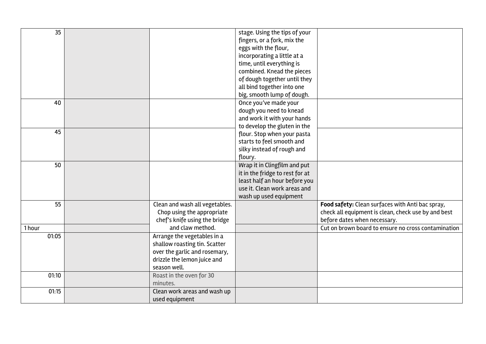| 35     |                                                                                                                                              | stage. Using the tips of your<br>fingers, or a fork, mix the<br>eggs with the flour,<br>incorporating a little at a<br>time, until everything is<br>combined. Knead the pieces<br>of dough together until they<br>all bind together into one<br>big, smooth lump of dough. |                                                                                                                                         |
|--------|----------------------------------------------------------------------------------------------------------------------------------------------|----------------------------------------------------------------------------------------------------------------------------------------------------------------------------------------------------------------------------------------------------------------------------|-----------------------------------------------------------------------------------------------------------------------------------------|
| 40     |                                                                                                                                              | Once you've made your<br>dough you need to knead<br>and work it with your hands<br>to develop the gluten in the                                                                                                                                                            |                                                                                                                                         |
| 45     |                                                                                                                                              | flour. Stop when your pasta<br>starts to feel smooth and<br>silky instead of rough and<br>floury.                                                                                                                                                                          |                                                                                                                                         |
| 50     |                                                                                                                                              | Wrap it in Clingfilm and put<br>it in the fridge to rest for at<br>least half an hour before you<br>use it. Clean work areas and<br>wash up used equipment                                                                                                                 |                                                                                                                                         |
| 55     | Clean and wash all vegetables.<br>Chop using the appropriate<br>chef's knife using the bridge                                                |                                                                                                                                                                                                                                                                            | Food safety: Clean surfaces with Anti bac spray,<br>check all equipment is clean, check use by and best<br>before dates when necessary. |
| 1 hour | and claw method.                                                                                                                             |                                                                                                                                                                                                                                                                            | Cut on brown board to ensure no cross contamination                                                                                     |
| 01:05  | Arrange the vegetables in a<br>shallow roasting tin. Scatter<br>over the garlic and rosemary,<br>drizzle the lemon juice and<br>season well. |                                                                                                                                                                                                                                                                            |                                                                                                                                         |
| 01:10  | Roast in the oven for 30<br>minutes.                                                                                                         |                                                                                                                                                                                                                                                                            |                                                                                                                                         |
| 01:15  | Clean work areas and wash up<br>used equipment                                                                                               |                                                                                                                                                                                                                                                                            |                                                                                                                                         |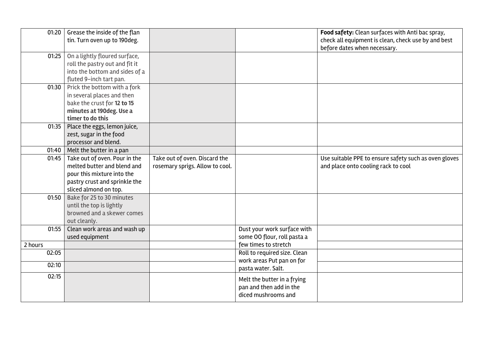| 01:20   | Grease the inside of the flan<br>tin. Turn oven up to 190deg. |                                 |                              | Food safety: Clean surfaces with Anti bac spray,<br>check all equipment is clean, check use by and best |
|---------|---------------------------------------------------------------|---------------------------------|------------------------------|---------------------------------------------------------------------------------------------------------|
|         |                                                               |                                 |                              | before dates when necessary.                                                                            |
| 01:25   | On a lightly floured surface,                                 |                                 |                              |                                                                                                         |
|         | roll the pastry out and fit it                                |                                 |                              |                                                                                                         |
|         | into the bottom and sides of a                                |                                 |                              |                                                                                                         |
|         | fluted 9-inch tart pan.                                       |                                 |                              |                                                                                                         |
| 01:30   | Prick the bottom with a fork                                  |                                 |                              |                                                                                                         |
|         | in several places and then                                    |                                 |                              |                                                                                                         |
|         | bake the crust for 12 to 15                                   |                                 |                              |                                                                                                         |
|         | minutes at 190deg. Use a                                      |                                 |                              |                                                                                                         |
|         | timer to do this                                              |                                 |                              |                                                                                                         |
| 01:35   | Place the eggs, lemon juice,                                  |                                 |                              |                                                                                                         |
|         | zest, sugar in the food                                       |                                 |                              |                                                                                                         |
|         | processor and blend.                                          |                                 |                              |                                                                                                         |
| 01:40   | Melt the butter in a pan                                      |                                 |                              |                                                                                                         |
| 01:45   | Take out of oven. Pour in the                                 | Take out of oven. Discard the   |                              | Use suitable PPE to ensure safety such as oven gloves                                                   |
|         | melted butter and blend and                                   | rosemary sprigs. Allow to cool. |                              | and place onto cooling rack to cool                                                                     |
|         | pour this mixture into the                                    |                                 |                              |                                                                                                         |
|         | pastry crust and sprinkle the                                 |                                 |                              |                                                                                                         |
|         | sliced almond on top.                                         |                                 |                              |                                                                                                         |
| 01:50   | Bake for 25 to 30 minutes                                     |                                 |                              |                                                                                                         |
|         | until the top is lightly                                      |                                 |                              |                                                                                                         |
|         | browned and a skewer comes                                    |                                 |                              |                                                                                                         |
|         | out cleanly.                                                  |                                 |                              |                                                                                                         |
| 01:55   | Clean work areas and wash up                                  |                                 | Dust your work surface with  |                                                                                                         |
|         | used equipment                                                |                                 | some OO flour, roll pasta a  |                                                                                                         |
| 2 hours |                                                               |                                 | few times to stretch         |                                                                                                         |
| 02:05   |                                                               |                                 | Roll to required size. Clean |                                                                                                         |
| 02:10   |                                                               |                                 | work areas Put pan on for    |                                                                                                         |
|         |                                                               |                                 | pasta water. Salt.           |                                                                                                         |
| 02:15   |                                                               |                                 | Melt the butter in a frying  |                                                                                                         |
|         |                                                               |                                 | pan and then add in the      |                                                                                                         |
|         |                                                               |                                 | diced mushrooms and          |                                                                                                         |
|         |                                                               |                                 |                              |                                                                                                         |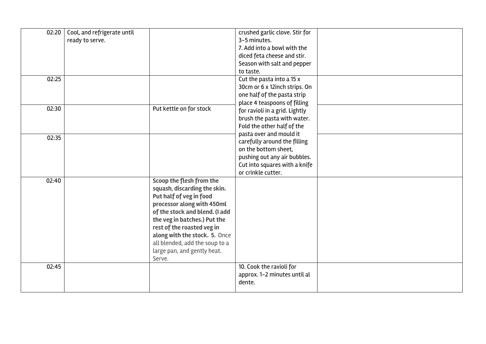| 02:20 | Cool, and refrigerate until |                                                             | crushed garlic clove. Stir for           |  |
|-------|-----------------------------|-------------------------------------------------------------|------------------------------------------|--|
|       | ready to serve.             |                                                             | 3-5 minutes.                             |  |
|       |                             |                                                             | 7. Add into a bowl with the              |  |
|       |                             |                                                             | diced feta cheese and stir.              |  |
|       |                             |                                                             | Season with salt and pepper<br>to taste. |  |
| 02:25 |                             |                                                             | Cut the pasta into a 15 x                |  |
|       |                             |                                                             | 30cm or 6 x 12inch strips. On            |  |
|       |                             |                                                             | one half of the pasta strip              |  |
|       |                             |                                                             | place 4 teaspoons of filling             |  |
| 02:30 |                             | Put kettle on for stock                                     | for ravioli in a grid. Lightly           |  |
|       |                             |                                                             | brush the pasta with water.              |  |
|       |                             |                                                             | Fold the other half of the               |  |
|       |                             |                                                             | pasta over and mould it                  |  |
| 02:35 |                             |                                                             | carefully around the filling             |  |
|       |                             |                                                             | on the bottom sheet,                     |  |
|       |                             |                                                             | pushing out any air bubbles.             |  |
|       |                             |                                                             | Cut into squares with a knife            |  |
|       |                             |                                                             | or crinkle cutter.                       |  |
| 02:40 |                             | Scoop the flesh from the                                    |                                          |  |
|       |                             | squash, discarding the skin.                                |                                          |  |
|       |                             | Put half of veg in food                                     |                                          |  |
|       |                             | processor along with 450ml                                  |                                          |  |
|       |                             | of the stock and blend. (I add                              |                                          |  |
|       |                             | the veg in batches.) Put the                                |                                          |  |
|       |                             | rest of the roasted veg in<br>along with the stock. 5. Once |                                          |  |
|       |                             | all blended, add the soup to a                              |                                          |  |
|       |                             | large pan, and gently heat.                                 |                                          |  |
|       |                             | Serve.                                                      |                                          |  |
| 02:45 |                             |                                                             | 10. Cook the ravioli for                 |  |
|       |                             |                                                             | approx. 1-2 minutes until al             |  |
|       |                             |                                                             | dente.                                   |  |
|       |                             |                                                             |                                          |  |